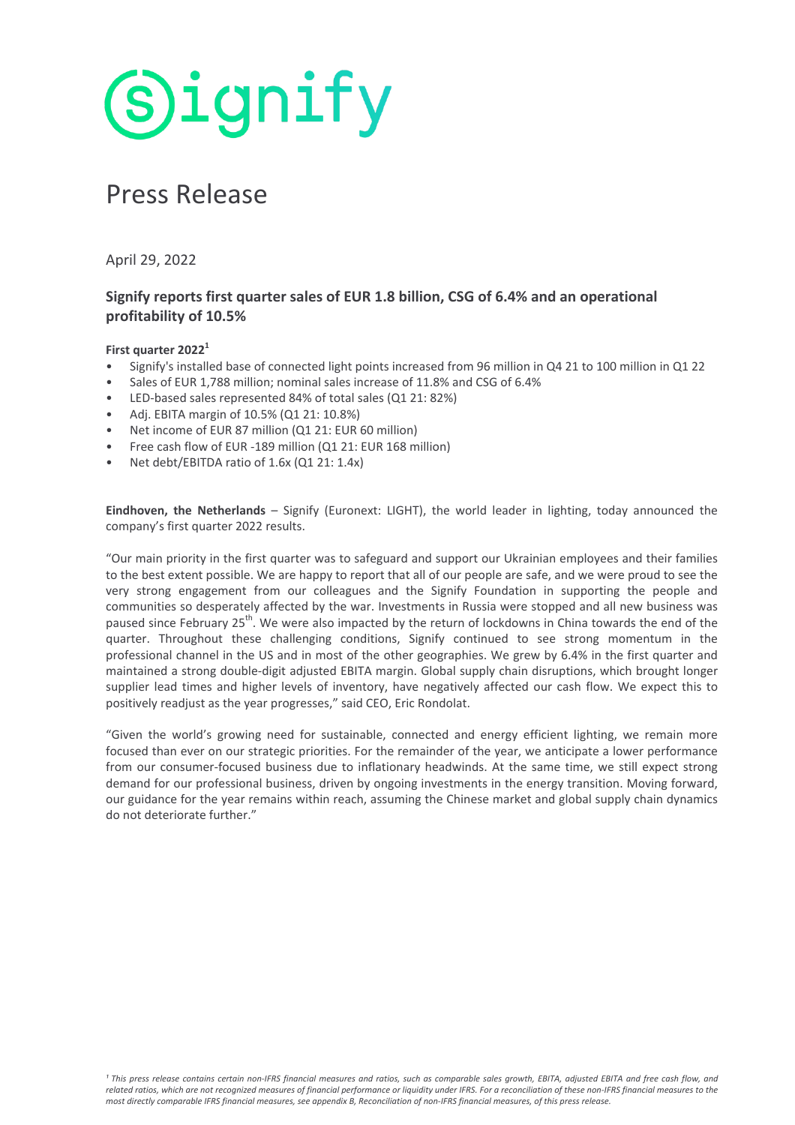**Signify** 

# Press Release

April 29, 2022

# Signify reports first quarter sales of EUR 1.8 billion, CSG of 6.4% and an operational **profitability of 10.5%**

# **First quarter 2022<sup>1</sup>**

- Signify's installed base of connected light points increased from 96 million in Q4 21 to 100 million in Q1 22
- Sales of EUR 1,788 million; nominal sales increase of 11.8% and CSG of 6.4%
- LED-based sales represented 84% of total sales (Q1 21: 82%)
- Adj. EBITA margin of 10.5% (Q1 21: 10.8%)
- Net income of EUR 87 million (Q1 21: EUR 60 million)
- Free cash flow of EUR -189 million (Q1 21: EUR 168 million)
- Net debt/EBITDA ratio of 1.6x (Q1 21: 1.4x)

**Eindhoven, the Netherlands** – Signify (Euronext: LIGHT), the world leader in lighting, today announced the company's first quarter 2022 results.

"Our main priority in the first quarter was to safeguard and support our Ukrainian employees and their families to the best extent possible. We are happy to report that all of our people are safe, and we were proud to see the very strong engagement from our colleagues and the Signify Foundation in supporting the people and communities so desperately affected by the war. Investments in Russia were stopped and all new business was paused since February 25<sup>th</sup>. We were also impacted by the return of lockdowns in China towards the end of the quarter. Throughout these challenging conditions, Signify continued to see strong momentum in the professional channel in the US and in most of the other geographies. We grew by 6.4% in the first quarter and maintained a strong double-digit adjusted EBITA margin. Global supply chain disruptions, which brought longer supplier lead times and higher levels of inventory, have negatively affected our cash flow. We expect this to positively readjust as the year progresses," said CEO, Eric Rondolat.

"Given the world's growing need for sustainable, connected and energy efficient lighting, we remain more focused than ever on our strategic priorities. For the remainder of the year, we anticipate a lower performance from our consumer-focused business due to inflationary headwinds. At the same time, we still expect strong demand for our professional business, driven by ongoing investments in the energy transition. Moving forward, our guidance for the year remains within reach, assuming the Chinese market and global supply chain dynamics do not deteriorate further."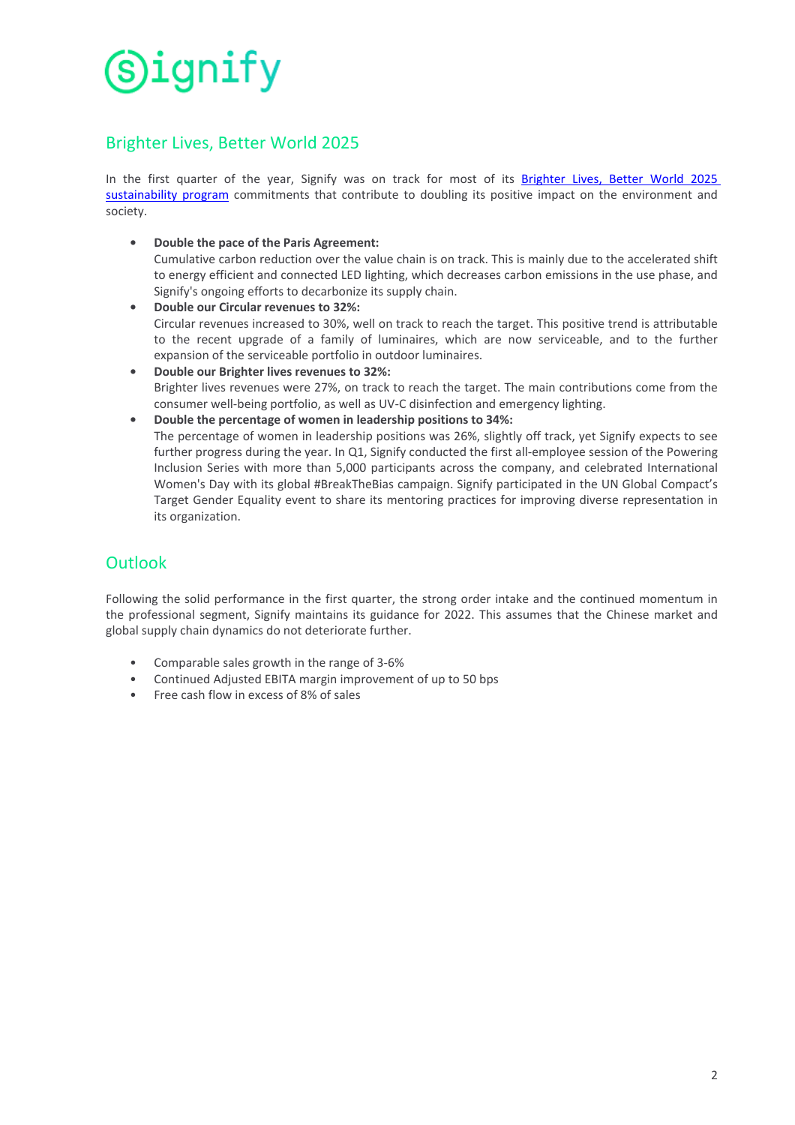# **Brighter Lives, Better World 2025**

In the first quarter of the year, Signify was on track for most of its Brighter Lives, Better World 2025 sustainability program commitments that contribute to doubling its positive impact on the environment and society.

• Double the pace of the Paris Agreement:

Cumulative carbon reduction over the value chain is on track. This is mainly due to the accelerated shift to energy efficient and connected LED lighting, which decreases carbon emissions in the use phase, and Signify's ongoing efforts to decarbonize its supply chain.

- **Double our Circular revenues to 32%:** Circular revenues increased to 30%, well on track to reach the target. This positive trend is attributable to the recent upgrade of a family of luminaires, which are now serviceable, and to the further expansion of the serviceable portfolio in outdoor luminaires.
- **Double our Brighter lives revenues to 32%:** Brighter lives revenues were 27%, on track to reach the target. The main contributions come from the consumer well-being portfolio, as well as UV-C disinfection and emergency lighting.
- Double the percentage of women in leadership positions to 34%:

The percentage of women in leadership positions was 26%, slightly off track, yet Signify expects to see further progress during the year. In Q1, Signify conducted the first all-employee session of the Powering Inclusion Series with more than 5,000 participants across the company, and celebrated International Women's Day with its global #BreakTheBias campaign. Signify participated in the UN Global Compact's Target Gender Equality event to share its mentoring practices for improving diverse representation in its organization.

# **Outlook**

Following the solid performance in the first quarter, the strong order intake and the continued momentum in the professional segment, Signify maintains its guidance for 2022. This assumes that the Chinese market and global supply chain dynamics do not deteriorate further.

- Comparable sales growth in the range of 3-6%
- Continued Adjusted EBITA margin improvement of up to 50 bps
- Free cash flow in excess of 8% of sales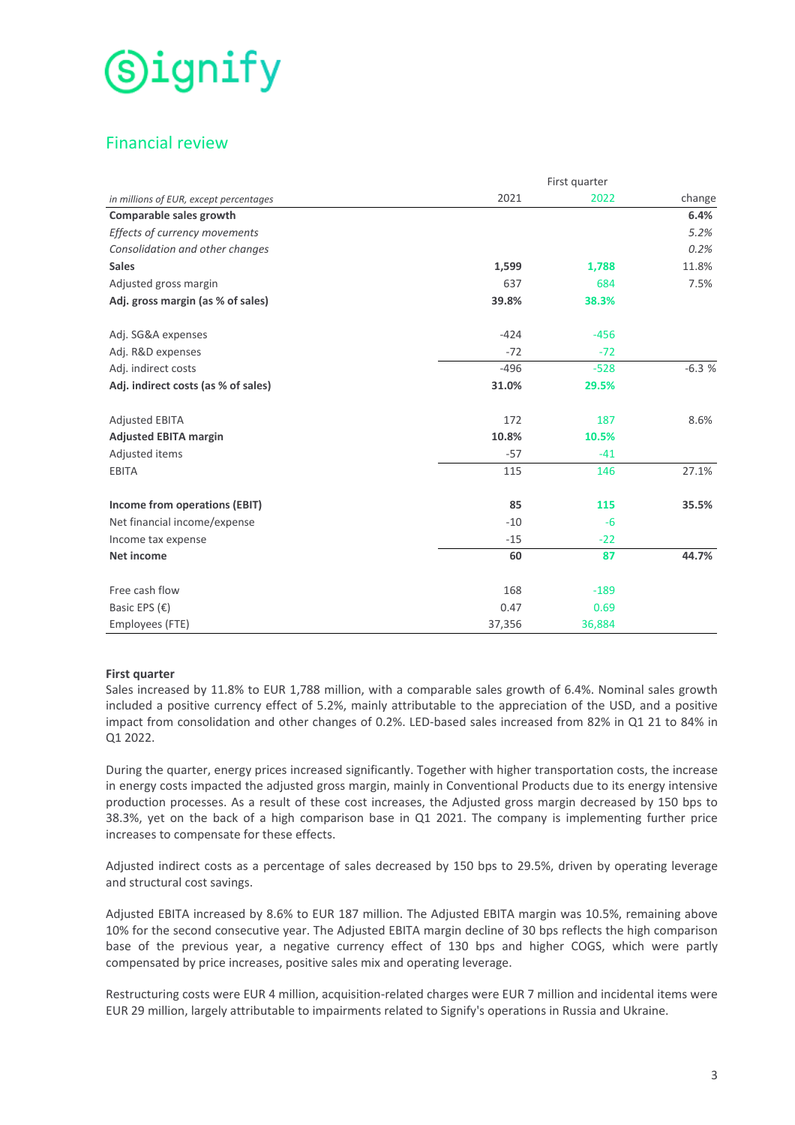# Financial review

|                                        |        | First quarter |         |
|----------------------------------------|--------|---------------|---------|
| in millions of EUR, except percentages | 2021   | 2022          | change  |
| Comparable sales growth                |        |               | 6.4%    |
| Effects of currency movements          |        |               | 5.2%    |
| Consolidation and other changes        |        |               | 0.2%    |
| <b>Sales</b>                           | 1,599  | 1,788         | 11.8%   |
| Adjusted gross margin                  | 637    | 684           | 7.5%    |
| Adj. gross margin (as % of sales)      | 39.8%  | 38.3%         |         |
| Adj. SG&A expenses                     | $-424$ | $-456$        |         |
| Adj. R&D expenses                      | $-72$  | $-72$         |         |
| Adj. indirect costs                    | $-496$ | $-528$        | $-6.3%$ |
| Adj. indirect costs (as % of sales)    | 31.0%  | 29.5%         |         |
| <b>Adjusted EBITA</b>                  | 172    | 187           | 8.6%    |
| <b>Adjusted EBITA margin</b>           | 10.8%  | 10.5%         |         |
| Adjusted items                         | $-57$  | $-41$         |         |
| EBITA                                  | 115    | 146           | 27.1%   |
| Income from operations (EBIT)          | 85     | 115           | 35.5%   |
| Net financial income/expense           | $-10$  | $-6$          |         |
| Income tax expense                     | $-15$  | $-22$         |         |
| <b>Net income</b>                      | 60     | 87            | 44.7%   |
| Free cash flow                         | 168    | $-189$        |         |
| Basic EPS $(E)$                        | 0.47   | 0.69          |         |
| Employees (FTE)                        | 37,356 | 36,884        |         |

# **First quarter**

Sales increased by 11.8% to EUR 1,788 million, with a comparable sales growth of 6.4%. Nominal sales growth included a positive currency effect of 5.2%, mainly attributable to the appreciation of the USD, and a positive impact from consolidation and other changes of 0.2%. LED-based sales increased from 82% in Q1 21 to 84% in Q1 2022.

During the quarter, energy prices increased significantly. Together with higher transportation costs, the increase in energy costs impacted the adjusted gross margin, mainly in Conventional Products due to its energy intensive production processes. As a result of these cost increases, the Adjusted gross margin decreased by 150 bps to 38.3%, yet on the back of a high comparison base in Q1 2021. The company is implementing further price increases to compensate for these effects.

Adjusted indirect costs as a percentage of sales decreased by 150 bps to 29.5%, driven by operating leverage and structural cost savings.

Adjusted EBITA increased by 8.6% to EUR 187 million. The Adjusted EBITA margin was 10.5%, remaining above 10% for the second consecutive year. The Adjusted EBITA margin decline of 30 bps reflects the high comparison base of the previous year, a negative currency effect of 130 bps and higher COGS, which were partly compensated by price increases, positive sales mix and operating leverage.

Restructuring costs were EUR 4 million, acquisition-related charges were EUR 7 million and incidental items were EUR 29 million, largely attributable to impairments related to Signify's operations in Russia and Ukraine.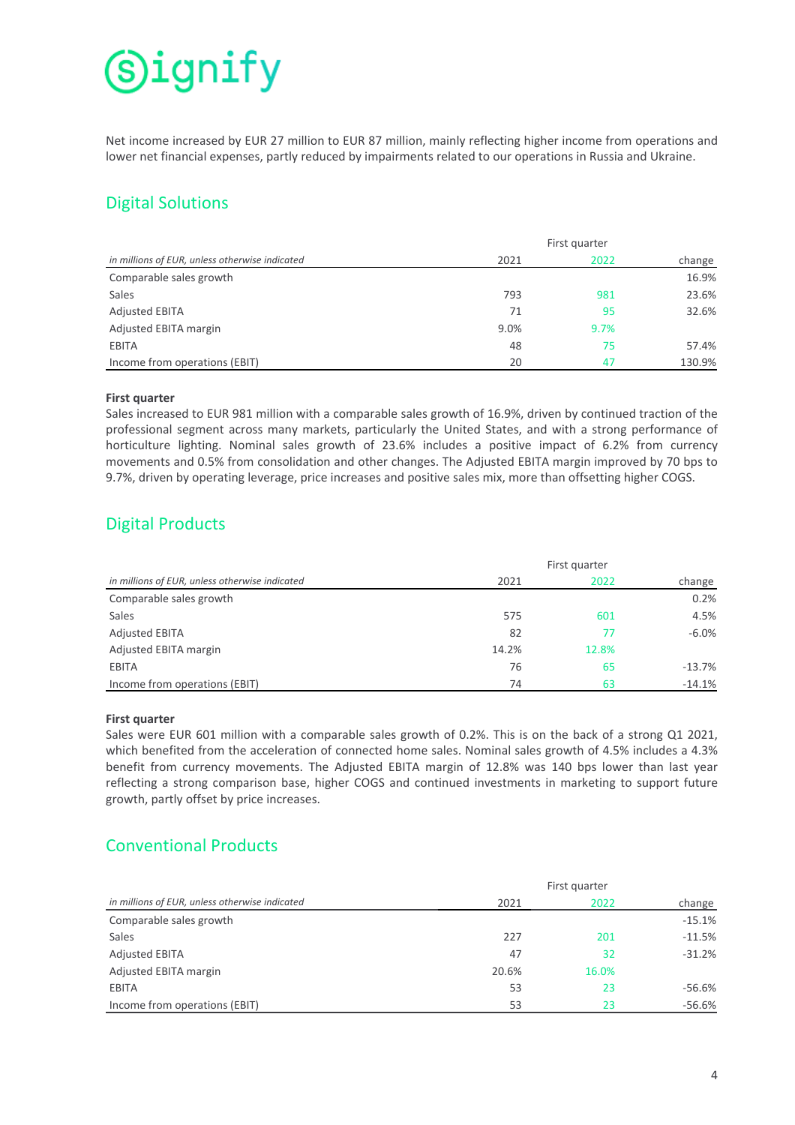# (S)ignify

Net income increased by EUR 27 million to EUR 87 million, mainly reflecting higher income from operations and lower net financial expenses, partly reduced by impairments related to our operations in Russia and Ukraine.

# Digital Solutions

|                                                | First quarter |      |        |
|------------------------------------------------|---------------|------|--------|
| in millions of EUR, unless otherwise indicated | 2021          | 2022 | change |
| Comparable sales growth                        |               |      | 16.9%  |
| <b>Sales</b>                                   | 793           | 981  | 23.6%  |
| <b>Adjusted EBITA</b>                          | 71            | 95   | 32.6%  |
| Adjusted EBITA margin                          | 9.0%          | 9.7% |        |
| <b>EBITA</b>                                   | 48            | 75   | 57.4%  |
| Income from operations (EBIT)                  | 20            | 47   | 130.9% |

# **First quarter**

Sales increased to EUR 981 million with a comparable sales growth of 16.9%, driven by continued traction of the professional segment across many markets, particularly the United States, and with a strong performance of horticulture lighting. Nominal sales growth of 23.6% includes a positive impact of 6.2% from currency movements and 0.5% from consolidation and other changes. The Adjusted EBITA margin improved by 70 bps to 9.7%, driven by operating leverage, price increases and positive sales mix, more than offsetting higher COGS.

# Digital Products

|                                                | First quarter |       |           |
|------------------------------------------------|---------------|-------|-----------|
| in millions of EUR, unless otherwise indicated | 2021          | 2022  | change    |
| Comparable sales growth                        |               |       | 0.2%      |
| Sales                                          | 575           | 601   | 4.5%      |
| <b>Adjusted EBITA</b>                          | 82            | 77    | $-6.0\%$  |
| Adjusted EBITA margin                          | 14.2%         | 12.8% |           |
| EBITA                                          | 76            | 65    | $-13.7\%$ |
| Income from operations (EBIT)                  | 74            | 63    | $-14.1%$  |

# **First quarter**

Sales were EUR 601 million with a comparable sales growth of 0.2%. This is on the back of a strong Q1 2021, which benefited from the acceleration of connected home sales. Nominal sales growth of 4.5% includes a 4.3% benefit from currency movements. The Adjusted EBITA margin of 12.8% was 140 bps lower than last year reflecting a strong comparison base, higher COGS and continued investments in marketing to support future growth, partly offset by price increases.

# Conventional Products

|                                                | First quarter |       |          |
|------------------------------------------------|---------------|-------|----------|
| in millions of EUR, unless otherwise indicated | 2021          | 2022  | change   |
| Comparable sales growth                        |               |       | $-15.1%$ |
| Sales                                          | 227           | 201   | $-11.5%$ |
| <b>Adjusted EBITA</b>                          | 47            | 32    | $-31.2%$ |
| Adjusted EBITA margin                          | 20.6%         | 16.0% |          |
| <b>EBITA</b>                                   | 53            | 23    | $-56.6%$ |
| Income from operations (EBIT)                  | 53            | 23    | $-56.6%$ |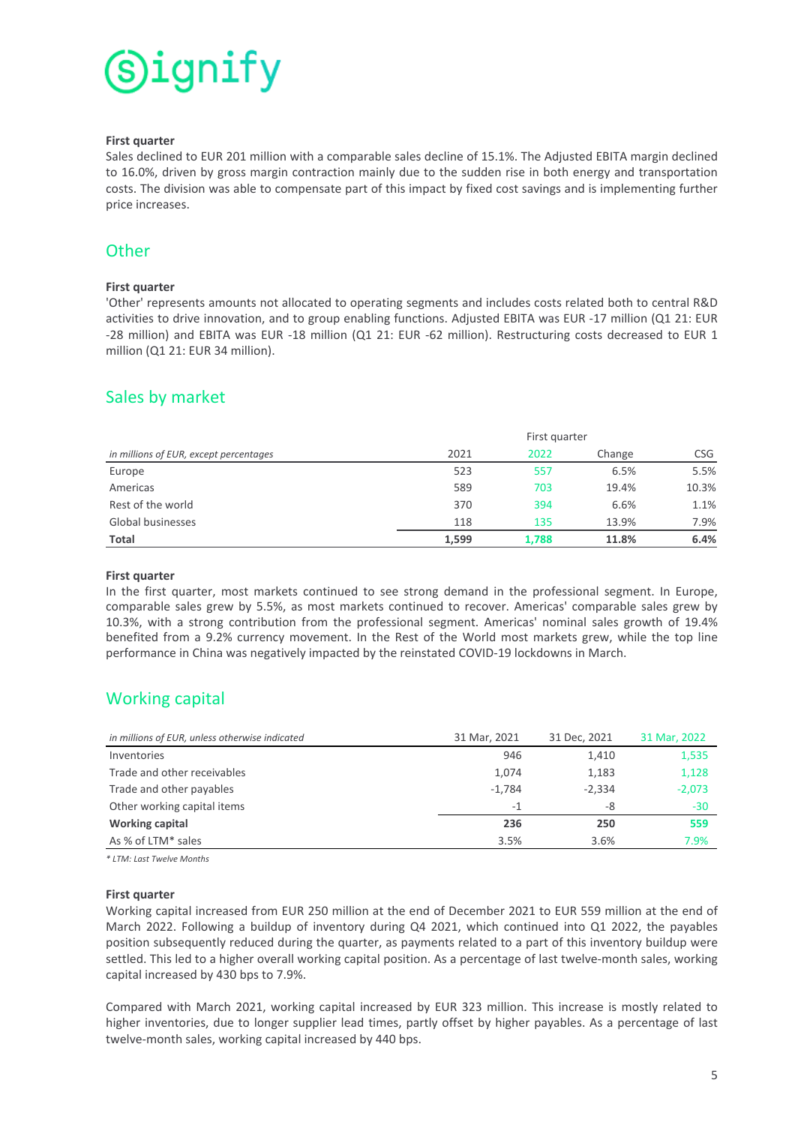

### **First quarter**

Sales declined to EUR 201 million with a comparable sales decline of 15.1%. The Adjusted EBITA margin declined to 16.0%, driven by gross margin contraction mainly due to the sudden rise in both energy and transportation costs. The division was able to compensate part of this impact by fixed cost savings and is implementing further price increases.

# **Other**

# **First quarter**

'Other' represents amounts not allocated to operating segments and includes costs related both to central R&D activities to drive innovation, and to group enabling functions. Adjusted EBITA was EUR -17 million (Q1 21: EUR -28 million) and EBITA was EUR -18 million (Q1 21: EUR -62 million). Restructuring costs decreased to EUR 1 million (Q1 21: EUR 34 million).

# Sales by market

|                                        | First quarter |       |        |            |
|----------------------------------------|---------------|-------|--------|------------|
| in millions of EUR, except percentages | 2021          | 2022  | Change | <b>CSG</b> |
| Europe                                 | 523           | 557   | 6.5%   | 5.5%       |
| Americas                               | 589           | 703   | 19.4%  | 10.3%      |
| Rest of the world                      | 370           | 394   | 6.6%   | 1.1%       |
| Global businesses                      | 118           | 135   | 13.9%  | 7.9%       |
| Total                                  | 1.599         | 1,788 | 11.8%  | 6.4%       |

# **First quarter**

In the first quarter, most markets continued to see strong demand in the professional segment. In Europe, comparable sales grew by 5.5%, as most markets continued to recover. Americas' comparable sales grew by 10.3%, with a strong contribution from the professional segment. Americas' nominal sales growth of 19.4% benefited from a 9.2% currency movement. In the Rest of the World most markets grew, while the top line performance in China was negatively impacted by the reinstated COVID-19 lockdowns in March.

# Working capital

| in millions of EUR, unless otherwise indicated | 31 Mar, 2021 | 31 Dec, 2021 | 31 Mar, 2022 |
|------------------------------------------------|--------------|--------------|--------------|
| Inventories                                    | 946          | 1,410        | 1,535        |
| Trade and other receivables                    | 1,074        | 1,183        | 1,128        |
| Trade and other payables                       | $-1,784$     | $-2,334$     | $-2,073$     |
| Other working capital items                    | $-1$         | -8           | $-30$        |
| <b>Working capital</b>                         | 236          | 250          | 559          |
| As % of LTM* sales                             | 3.5%         | 3.6%         | 7.9%         |

*\* LTM: Last Twelve Months*

#### **First quarter**

Working capital increased from EUR 250 million at the end of December 2021 to EUR 559 million at the end of March 2022. Following a buildup of inventory during  $Q4$  2021, which continued into  $Q1$  2022, the payables position subsequently reduced during the quarter, as payments related to a part of this inventory buildup were settled. This led to a higher overall working capital position. As a percentage of last twelve-month sales, working capital increased by 430 bps to 7.9%.

Compared with March 2021, working capital increased by EUR 323 million. This increase is mostly related to higher inventories, due to longer supplier lead times, partly offset by higher payables. As a percentage of last twelve-month sales, working capital increased by 440 bps.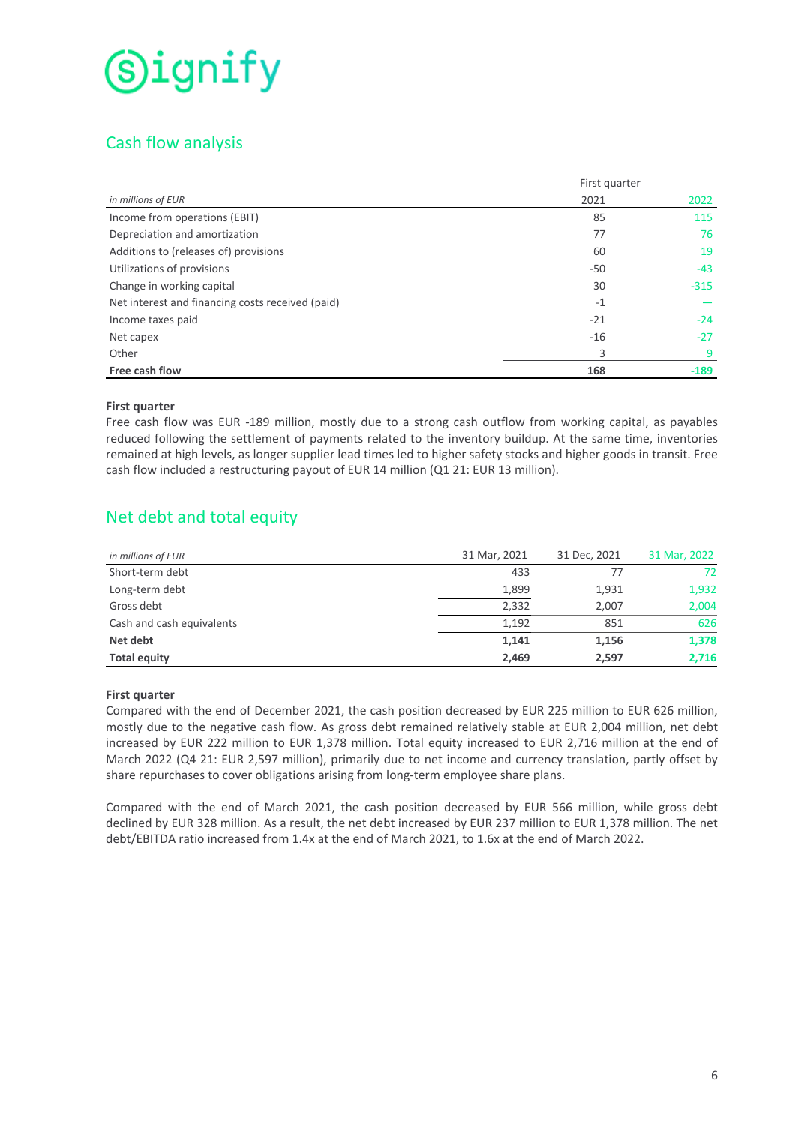# Cash flow analysis

|                                                  | First quarter |        |
|--------------------------------------------------|---------------|--------|
| in millions of EUR                               | 2021          | 2022   |
| Income from operations (EBIT)                    | 85            | 115    |
| Depreciation and amortization                    | 77            | 76     |
| Additions to (releases of) provisions            | 60            | 19     |
| Utilizations of provisions                       | -50           | $-43$  |
| Change in working capital                        | 30            | $-315$ |
| Net interest and financing costs received (paid) | $-1$          |        |
| Income taxes paid                                | $-21$         | $-24$  |
| Net capex                                        | $-16$         | $-27$  |
| Other                                            | 3             | 9      |
| Free cash flow                                   | 168           | $-189$ |

# **First quarter**

Free cash flow was EUR -189 million, mostly due to a strong cash outflow from working capital, as payables reduced following the settlement of payments related to the inventory buildup. At the same time, inventories remained at high levels, as longer supplier lead times led to higher safety stocks and higher goods in transit. Free cash flow included a restructuring payout of EUR 14 million (Q1 21: EUR 13 million).

# Net debt and total equity

| in millions of EUR        | 31 Mar, 2021 | 31 Dec, 2021 | 31 Mar, 2022 |
|---------------------------|--------------|--------------|--------------|
| Short-term debt           | 433          | 77           | 72           |
| Long-term debt            | 1,899        | 1,931        | 1,932        |
| Gross debt                | 2,332        | 2,007        | 2,004        |
| Cash and cash equivalents | 1,192        | 851          | 626          |
| Net debt                  | 1,141        | 1,156        | 1,378        |
| <b>Total equity</b>       | 2,469        | 2,597        | 2,716        |

# **First quarter**

Compared with the end of December 2021, the cash position decreased by EUR 225 million to EUR 626 million, mostly due to the negative cash flow. As gross debt remained relatively stable at EUR 2,004 million, net debt increased by EUR 222 million to EUR 1,378 million. Total equity increased to EUR 2,716 million at the end of March 2022 (Q4 21: EUR 2,597 million), primarily due to net income and currency translation, partly offset by share repurchases to cover obligations arising from long-term employee share plans.

Compared with the end of March 2021, the cash position decreased by EUR 566 million, while gross debt declined by EUR 328 million. As a result, the net debt increased by EUR 237 million to EUR 1,378 million. The net debt/EBITDA ratio increased from 1.4x at the end of March 2021, to 1.6x at the end of March 2022.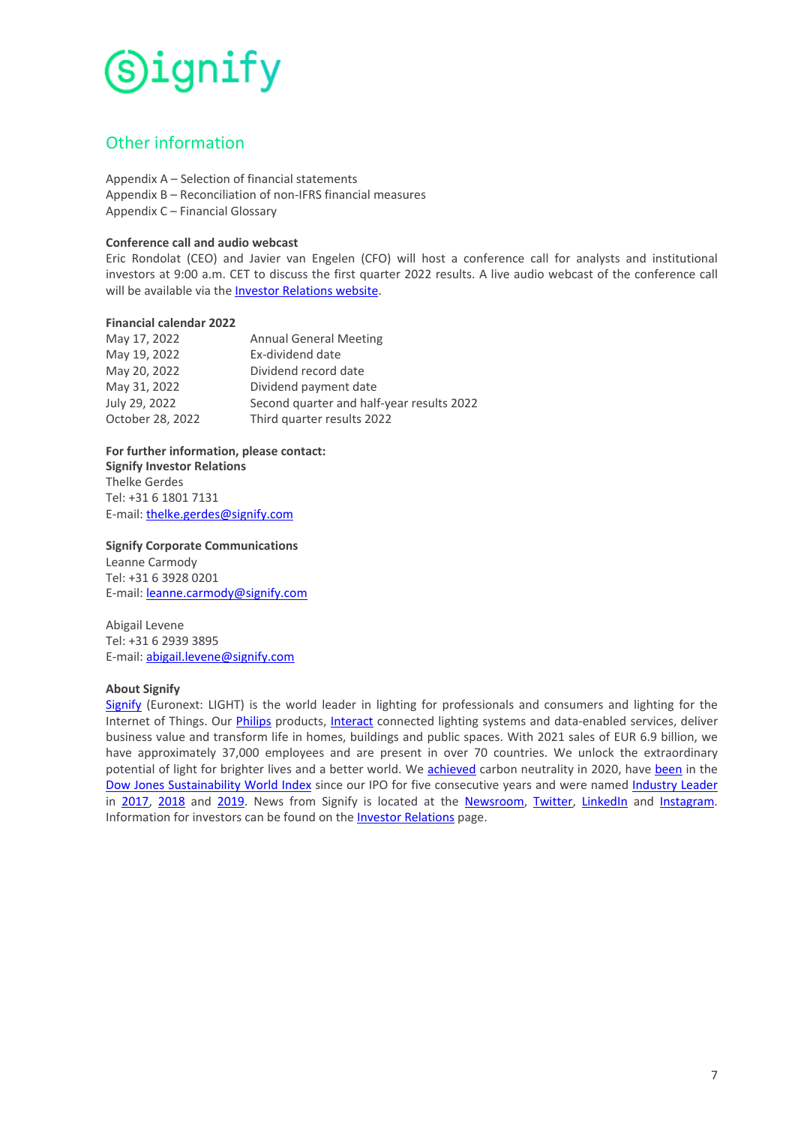

# Other information

Appendix  $A -$  Selection of financial statements Appendix B – Reconciliation of non-IFRS financial measures Appendix C - Financial Glossary

### **Conference call and audio webcast**

Eric Rondolat (CEO) and Javier van Engelen (CFO) will host a conference call for analysts and institutional investors at 9:00 a.m. CET to discuss the first quarter 2022 results. A live audio webcast of the conference call will be available via the Investor Relations website.

### **Financial calendar 2022**

| May 17, 2022     | <b>Annual General Meeting</b>             |
|------------------|-------------------------------------------|
| May 19, 2022     | Ex-dividend date                          |
| May 20, 2022     | Dividend record date                      |
| May 31, 2022     | Dividend payment date                     |
| July 29, 2022    | Second quarter and half-year results 2022 |
| October 28, 2022 | Third quarter results 2022                |

For further information, please contact: **Signify Investor Relations** Thelke Gerdes Tel: +31 6 1801 7131 E-mail: thelke.gerdes@signify.com

**Signify Corporate Communications** Leanne Carmody Tel: +31 6 3928 0201 E-mail: **leanne.carmody@signify.com** 

Abigail Levene Tel: +31 6 2939 3895 E-mail: abigail.levene@signify.com

#### **About Signify**

Signify (Euronext: LIGHT) is the world leader in lighting for professionals and consumers and lighting for the Internet of Things. Our [Philips](https://www.lighting.philips.com/) products, [Interact](https://www.interact-lighting.com/en) connected lighting systems and data-enabled services, deliver business value and transform life in homes, buildings and public spaces. With 2021 sales of EUR 6.9 billion, we have approximately 37,000 employees and are present in over 70 countries. We unlock the extraordinary potential of light for brighter lives and a better world. We [achieved](https://www.signify.com/global/our-company/news/press-releases/2020/20200908-signify-achieves-carbon-neutrality-and-sets-course-to-double-its-positive-impact-on-the-environment-and-society) carbon neutrality in 2020, have [been](https://www.signify.com/global/sustainability) in the Dow Jones Sustainability World Index since our IPO for five consecutive years and were named Industry Leader in [2017](https://www.signify.com/global/our-company/news/press-release-archive/2017/20170907-philips-lighting-named-industry-leader-in-the-2017-dow-jones-sustainability-index), 2018 and [2019.](https://www.signify.com/global/our-company/news/press-releases/2019/20190916-signify-named-industry-leader-in-2019-dow-jones-sustainability-index) News from Signify is located at the [Newsroom](https://www.signify.com/news), [Twitter](https://twitter.com/Signifycompany), LinkedIn and [Instagram.](https://www.instagram.com/signifycompany/) Information for investors can be found on the Investor Relations page.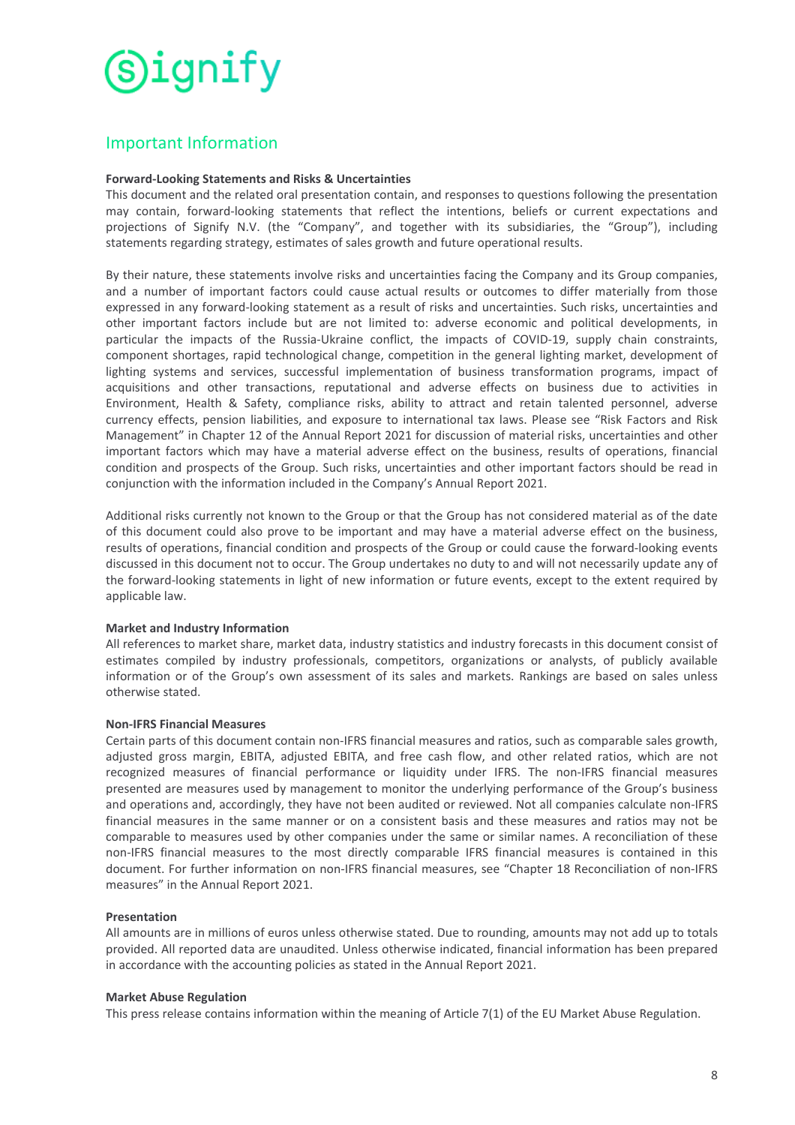# Important Information

# **Forward-Looking Statements and Risks & Uncertainties**

This document and the related oral presentation contain, and responses to questions following the presentation may contain, forward-looking statements that reflect the intentions, beliefs or current expectations and projections of Signify N.V. (the "Company", and together with its subsidiaries, the "Group"), including statements regarding strategy, estimates of sales growth and future operational results.

By their nature, these statements involve risks and uncertainties facing the Company and its Group companies, and a number of important factors could cause actual results or outcomes to differ materially from those expressed in any forward-looking statement as a result of risks and uncertainties. Such risks, uncertainties and other important factors include but are not limited to: adverse economic and political developments, in particular the impacts of the Russia-Ukraine conflict, the impacts of COVID-19, supply chain constraints, component shortages, rapid technological change, competition in the general lighting market, development of lighting systems and services, successful implementation of business transformation programs, impact of acquisitions and other transactions, reputational and adverse effects on business due to activities in Environment, Health & Safety, compliance risks, ability to attract and retain talented personnel, adverse currency effects, pension liabilities, and exposure to international tax laws. Please see "Risk Factors and Risk Management" in Chapter 12 of the Annual Report 2021 for discussion of material risks, uncertainties and other important factors which may have a material adverse effect on the business, results of operations, financial condition and prospects of the Group. Such risks, uncertainties and other important factors should be read in conjunction with the information included in the Company's Annual Report 2021.

Additional risks currently not known to the Group or that the Group has not considered material as of the date of this document could also prove to be important and may have a material adverse effect on the business, results of operations, financial condition and prospects of the Group or could cause the forward-looking events discussed in this document not to occur. The Group undertakes no duty to and will not necessarily update any of the forward-looking statements in light of new information or future events, except to the extent required by applicable law.

# **Market and Industry Information**

All references to market share, market data, industry statistics and industry forecasts in this document consist of estimates compiled by industry professionals, competitors, organizations or analysts, of publicly available information or of the Group's own assessment of its sales and markets. Rankings are based on sales unless otherwise stated.

# **Non-IFRS Financial Measures**

Certain parts of this document contain non-IFRS financial measures and ratios, such as comparable sales growth, adjusted gross margin, EBITA, adjusted EBITA, and free cash flow, and other related ratios, which are not recognized measures of financial performance or liquidity under IFRS. The non-IFRS financial measures presented are measures used by management to monitor the underlying performance of the Group's business and operations and, accordingly, they have not been audited or reviewed. Not all companies calculate non-IFRS financial measures in the same manner or on a consistent basis and these measures and ratios may not be comparable to measures used by other companies under the same or similar names. A reconciliation of these non-IFRS financial measures to the most directly comparable IFRS financial measures is contained in this document. For further information on non-IFRS financial measures, see "Chapter 18 Reconciliation of non-IFRS measures" in the Annual Report 2021.

# **Presentation**

All amounts are in millions of euros unless otherwise stated. Due to rounding, amounts may not add up to totals provided. All reported data are unaudited. Unless otherwise indicated, financial information has been prepared in accordance with the accounting policies as stated in the Annual Report 2021.

# **Market Abuse Regulation**

This press release contains information within the meaning of Article  $7(1)$  of the EU Market Abuse Regulation.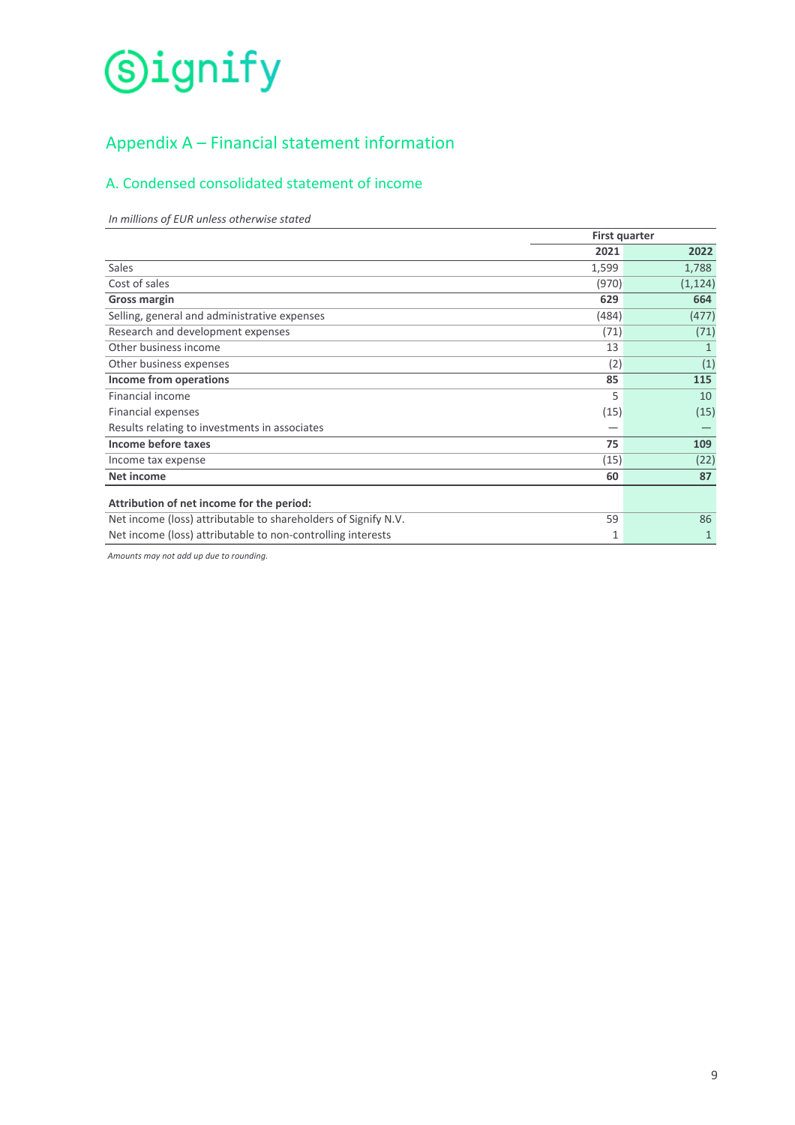# Appendix  $A - F$ inancial statement information

# A. Condensed consolidated statement of income

*In millions of EUR unless otherwise stated*

|                                                                | <b>First quarter</b> |          |
|----------------------------------------------------------------|----------------------|----------|
|                                                                | 2021                 | 2022     |
| Sales                                                          | 1,599                | 1,788    |
| Cost of sales                                                  | (970)                | (1, 124) |
| <b>Gross margin</b>                                            | 629                  | 664      |
| Selling, general and administrative expenses                   | (484)                | (477)    |
| Research and development expenses                              | (71)                 | (71)     |
| Other business income                                          | 13                   |          |
| Other business expenses                                        | (2)                  | (1)      |
| Income from operations                                         | 85                   | 115      |
| <b>Financial income</b>                                        | 5                    | 10       |
| <b>Financial expenses</b>                                      | (15)                 | (15)     |
| Results relating to investments in associates                  |                      |          |
| Income before taxes                                            | 75                   | 109      |
| Income tax expense                                             | (15)                 | (22)     |
| Net income                                                     | 60                   | 87       |
| Attribution of net income for the period:                      |                      |          |
| Net income (loss) attributable to shareholders of Signify N.V. | 59                   | 86       |
| Net income (loss) attributable to non-controlling interests    | 1                    |          |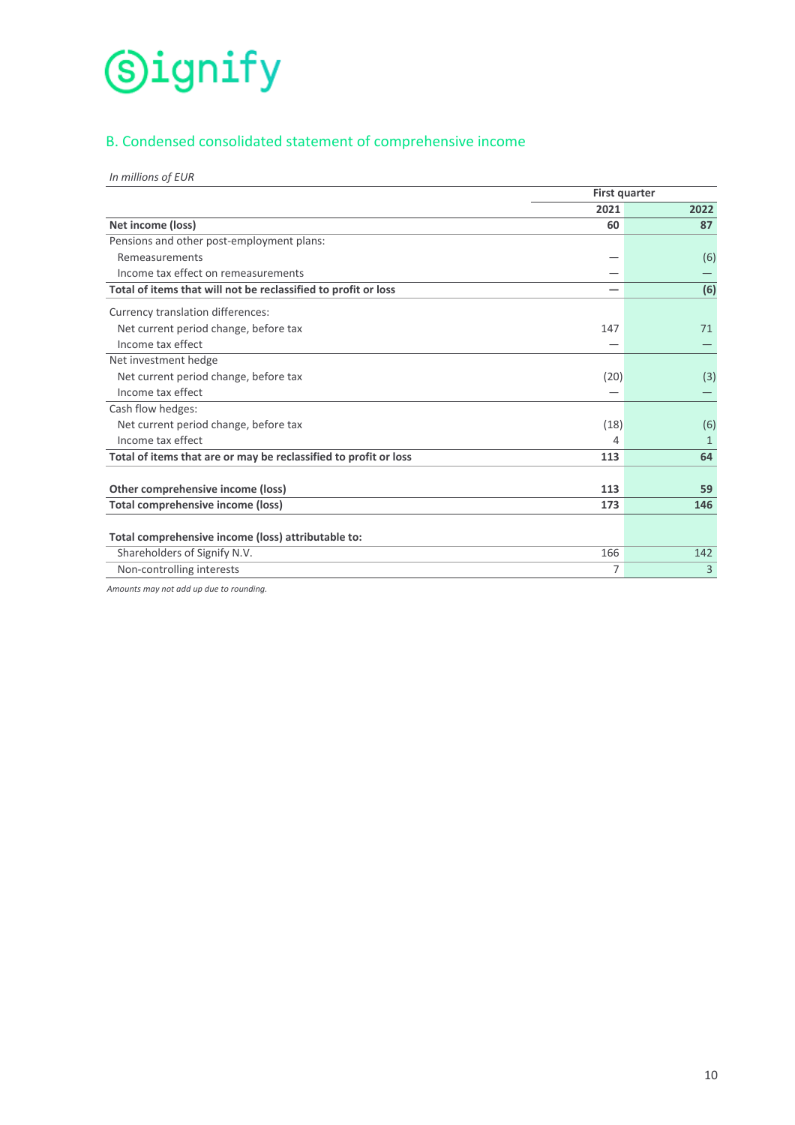# B. Condensed consolidated statement of comprehensive income

| In millions of EUR |  |  |  |  |  |
|--------------------|--|--|--|--|--|
|--------------------|--|--|--|--|--|

|                                                                  | <b>First quarter</b> |      |
|------------------------------------------------------------------|----------------------|------|
|                                                                  | 2021                 | 2022 |
| Net income (loss)                                                | 60                   | 87   |
| Pensions and other post-employment plans:                        |                      |      |
| Remeasurements                                                   |                      | (6)  |
| Income tax effect on remeasurements                              |                      |      |
| Total of items that will not be reclassified to profit or loss   |                      | (6)  |
| Currency translation differences:                                |                      |      |
| Net current period change, before tax                            | 147                  | 71   |
| Income tax effect                                                |                      |      |
| Net investment hedge                                             |                      |      |
| Net current period change, before tax                            | (20)                 | (3)  |
| Income tax effect                                                |                      |      |
| Cash flow hedges:                                                |                      |      |
| Net current period change, before tax                            | (18)                 | (6)  |
| Income tax effect                                                | 4                    | 1    |
| Total of items that are or may be reclassified to profit or loss | 113                  | 64   |
|                                                                  |                      |      |
| Other comprehensive income (loss)                                | 113                  | 59   |
| Total comprehensive income (loss)                                | 173                  | 146  |
|                                                                  |                      |      |
| Total comprehensive income (loss) attributable to:               |                      |      |
| Shareholders of Signify N.V.                                     | 166                  | 142  |
| Non-controlling interests                                        | 7                    | 3    |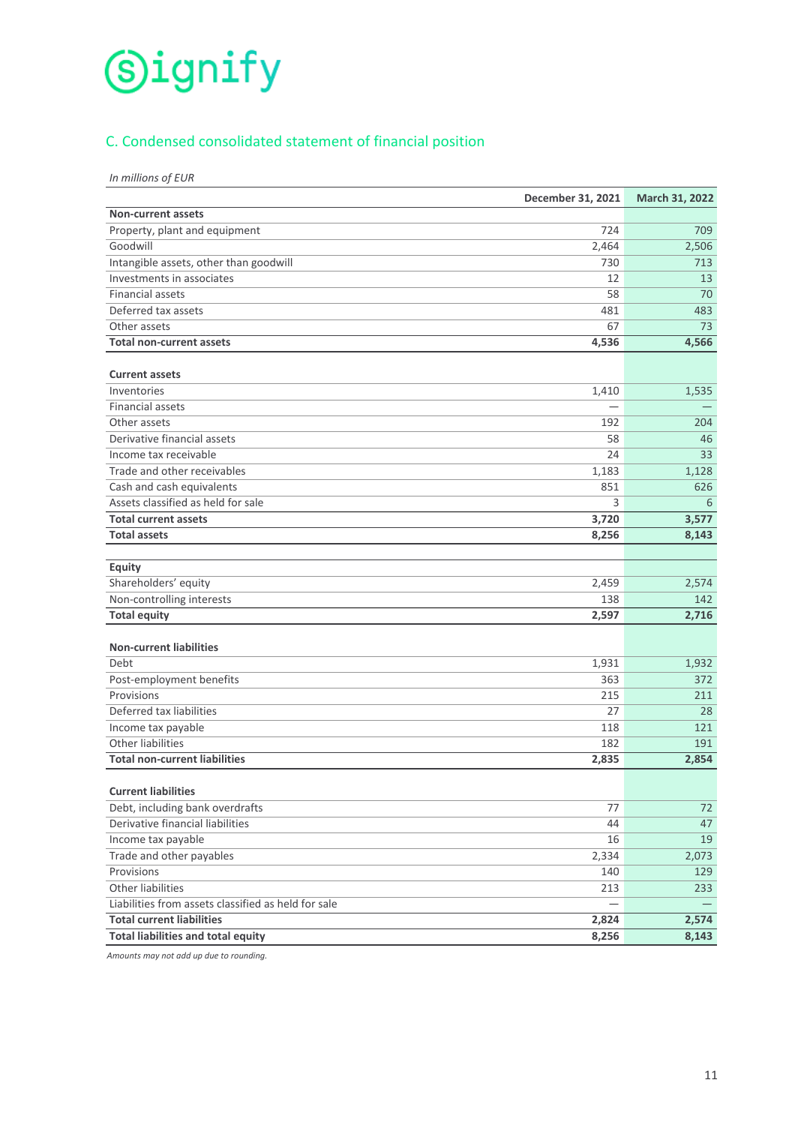# C. Condensed consolidated statement of financial position

*In millions of EUR*

|                                                     | December 31, 2021 | March 31, 2022 |
|-----------------------------------------------------|-------------------|----------------|
| <b>Non-current assets</b>                           |                   |                |
| Property, plant and equipment                       | 724               | 709            |
| Goodwill                                            | 2,464             | 2,506          |
| Intangible assets, other than goodwill              | 730               | 713            |
| Investments in associates                           | 12                | 13             |
| <b>Financial assets</b>                             | 58                | 70             |
| Deferred tax assets                                 | 481               | 483            |
| Other assets                                        | 67                | 73             |
| <b>Total non-current assets</b>                     | 4,536             | 4,566          |
|                                                     |                   |                |
| <b>Current assets</b>                               |                   |                |
| Inventories                                         | 1,410             | 1,535          |
| <b>Financial assets</b>                             |                   |                |
| Other assets                                        | 192               | 204            |
| Derivative financial assets                         | 58                | 46             |
| Income tax receivable                               | 24                | 33             |
| Trade and other receivables                         | 1,183             | 1,128          |
| Cash and cash equivalents                           | 851               | 626            |
| Assets classified as held for sale                  | 3                 | 6              |
| <b>Total current assets</b>                         | 3,720             | 3,577          |
| <b>Total assets</b>                                 | 8,256             | 8,143          |
| Equity                                              |                   |                |
| Shareholders' equity                                | 2,459             |                |
| Non-controlling interests                           | 138               | 2,574<br>142   |
| <b>Total equity</b>                                 | 2,597             | 2,716          |
|                                                     |                   |                |
| <b>Non-current liabilities</b>                      |                   |                |
| Debt                                                | 1,931             | 1,932          |
| Post-employment benefits                            | 363               | 372            |
| Provisions                                          | 215               | 211            |
| Deferred tax liabilities                            | 27                | 28             |
| Income tax payable                                  | 118               | 121            |
| Other liabilities                                   | 182               | 191            |
| <b>Total non-current liabilities</b>                | 2,835             | 2,854          |
|                                                     |                   |                |
| <b>Current liabilities</b>                          |                   |                |
| Debt, including bank overdrafts                     | 77                | 72             |
| Derivative financial liabilities                    | 44                | 47             |
| Income tax payable                                  | 16                | 19             |
| Trade and other payables                            | 2,334             | 2,073          |
| Provisions                                          | 140               | 129            |
| Other liabilities                                   | 213               | 233            |
| Liabilities from assets classified as held for sale |                   |                |
| <b>Total current liabilities</b>                    | 2,824             | 2,574          |
| <b>Total liabilities and total equity</b>           | 8,256             | 8,143          |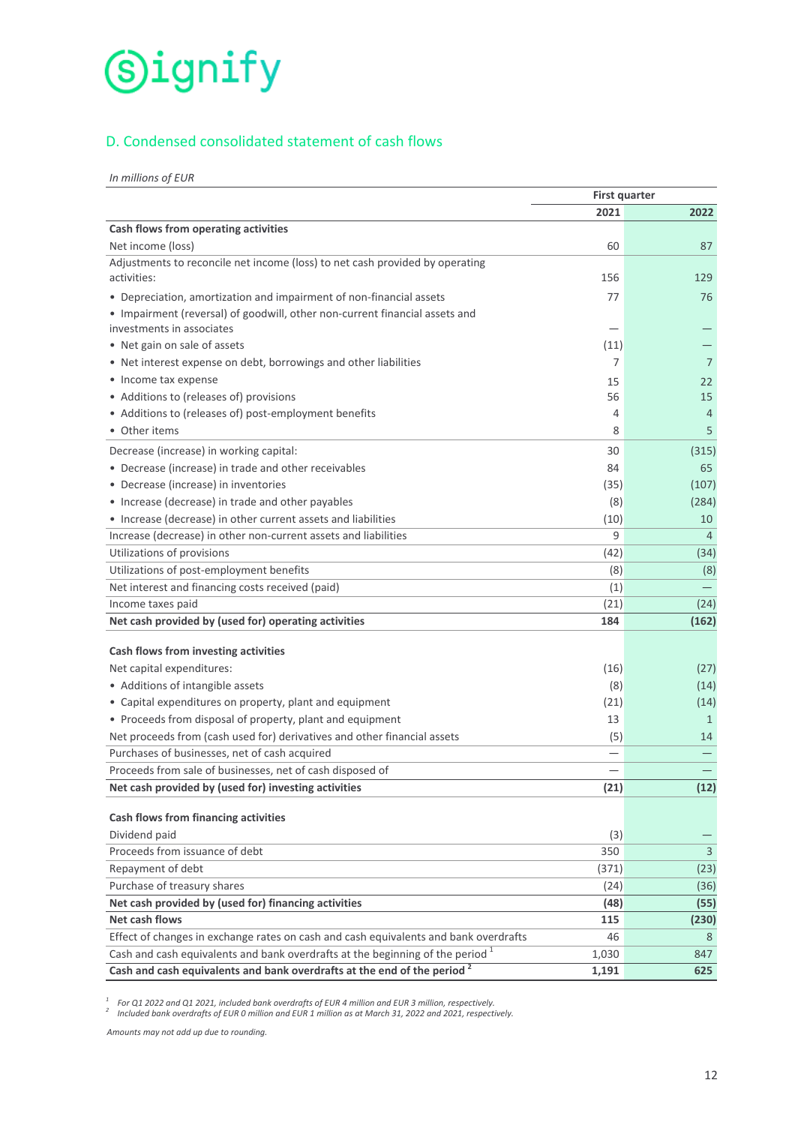# D. Condensed consolidated statement of cash flows

*In millions of EUR*

|                                                                                      | <b>First quarter</b> |                |
|--------------------------------------------------------------------------------------|----------------------|----------------|
|                                                                                      | 2021                 | 2022           |
| Cash flows from operating activities                                                 |                      |                |
| Net income (loss)                                                                    | 60                   | 87             |
| Adjustments to reconcile net income (loss) to net cash provided by operating         |                      |                |
| activities:                                                                          | 156                  | 129            |
| • Depreciation, amortization and impairment of non-financial assets                  | 77                   | 76             |
| • Impairment (reversal) of goodwill, other non-current financial assets and          |                      |                |
| investments in associates                                                            |                      |                |
| • Net gain on sale of assets                                                         | (11)                 |                |
| • Net interest expense on debt, borrowings and other liabilities                     | 7                    | 7              |
| • Income tax expense                                                                 | 15                   | 22             |
| • Additions to (releases of) provisions                                              | 56                   | 15             |
| • Additions to (releases of) post-employment benefits                                | 4                    | $\overline{4}$ |
| • Other items                                                                        | 8                    | 5              |
| Decrease (increase) in working capital:                                              | 30                   | (315)          |
| • Decrease (increase) in trade and other receivables                                 | 84                   | 65             |
| • Decrease (increase) in inventories                                                 | (35)                 | (107)          |
| • Increase (decrease) in trade and other payables                                    | (8)                  | (284)          |
| • Increase (decrease) in other current assets and liabilities                        | (10)                 | 10             |
| Increase (decrease) in other non-current assets and liabilities                      | 9                    | $\overline{4}$ |
| Utilizations of provisions                                                           | (42)                 | (34)           |
| Utilizations of post-employment benefits                                             | (8)                  | (8)            |
| Net interest and financing costs received (paid)                                     | (1)                  |                |
| Income taxes paid                                                                    | (21)                 | (24)           |
| Net cash provided by (used for) operating activities                                 | 184                  | (162)          |
| Cash flows from investing activities                                                 |                      |                |
| Net capital expenditures:                                                            | (16)                 | (27)           |
| • Additions of intangible assets                                                     | (8)                  | (14)           |
| • Capital expenditures on property, plant and equipment                              | (21)                 | (14)           |
| • Proceeds from disposal of property, plant and equipment                            | 13                   | $\mathbf{1}$   |
| Net proceeds from (cash used for) derivatives and other financial assets             | (5)                  | 14             |
| Purchases of businesses, net of cash acquired                                        |                      |                |
| Proceeds from sale of businesses, net of cash disposed of                            |                      |                |
| Net cash provided by (used for) investing activities                                 | (21)                 | (12)           |
| Cash flows from financing activities                                                 |                      |                |
| Dividend paid                                                                        | (3)                  |                |
| Proceeds from issuance of debt                                                       | 350                  | 3              |
| Repayment of debt                                                                    | (371)                | (23)           |
| Purchase of treasury shares                                                          | (24)                 | (36)           |
| Net cash provided by (used for) financing activities                                 | (48)                 | (55)           |
| Net cash flows                                                                       | 115                  | (230)          |
| Effect of changes in exchange rates on cash and cash equivalents and bank overdrafts | 46                   | 8              |
| Cash and cash equivalents and bank overdrafts at the beginning of the period $1$     | 1,030                | 847            |
| Cash and cash equivalents and bank overdrafts at the end of the period <sup>2</sup>  | 1,191                | 625            |

<sup>1</sup> For Q1 2022 and Q1 2021, included bank overdrafts of EUR 4 million and EUR 3 million, respectively.<br><sup>2</sup> Included bank overdrafts of EUR 0 million and EUR 1 million as at March 31, 2022 and 2021, respectively.

*Amounts may not add up due to rounding.*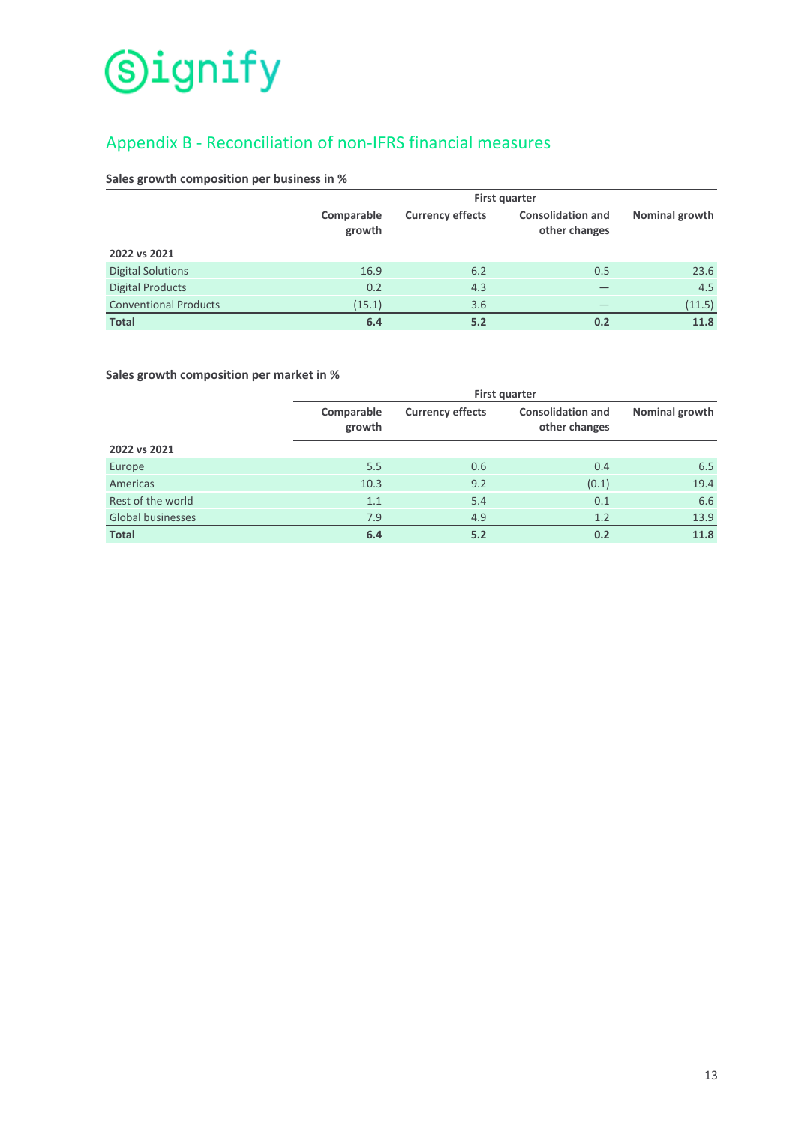# Appendix B - Reconciliation of non-IFRS financial measures

# Sales growth composition per business in %

|                              | <b>First quarter</b> |                         |                                           |                |  |
|------------------------------|----------------------|-------------------------|-------------------------------------------|----------------|--|
|                              | Comparable<br>growth | <b>Currency effects</b> | <b>Consolidation and</b><br>other changes | Nominal growth |  |
| 2022 vs 2021                 |                      |                         |                                           |                |  |
| <b>Digital Solutions</b>     | 16.9                 | 6.2                     | 0.5                                       | 23.6           |  |
| <b>Digital Products</b>      | 0.2                  | 4.3                     |                                           | 4.5            |  |
| <b>Conventional Products</b> | (15.1)               | 3.6                     |                                           | (11.5)         |  |
| <b>Total</b>                 | 6.4                  | 5.2                     | 0.2                                       | 11.8           |  |

# Sales growth composition per market in %

|                          | First quarter        |                         |                                           |                |  |
|--------------------------|----------------------|-------------------------|-------------------------------------------|----------------|--|
|                          | Comparable<br>growth | <b>Currency effects</b> | <b>Consolidation and</b><br>other changes | Nominal growth |  |
| 2022 vs 2021             |                      |                         |                                           |                |  |
| Europe                   | 5.5                  | 0.6                     | 0.4                                       | 6.5            |  |
| Americas                 | 10.3                 | 9.2                     | (0.1)                                     | 19.4           |  |
| Rest of the world        | 1.1                  | 5.4                     | 0.1                                       | 6.6            |  |
| <b>Global businesses</b> | 7.9                  | 4.9                     | 1.2                                       | 13.9           |  |
| <b>Total</b>             | 6.4                  | 5.2                     | 0.2                                       | 11.8           |  |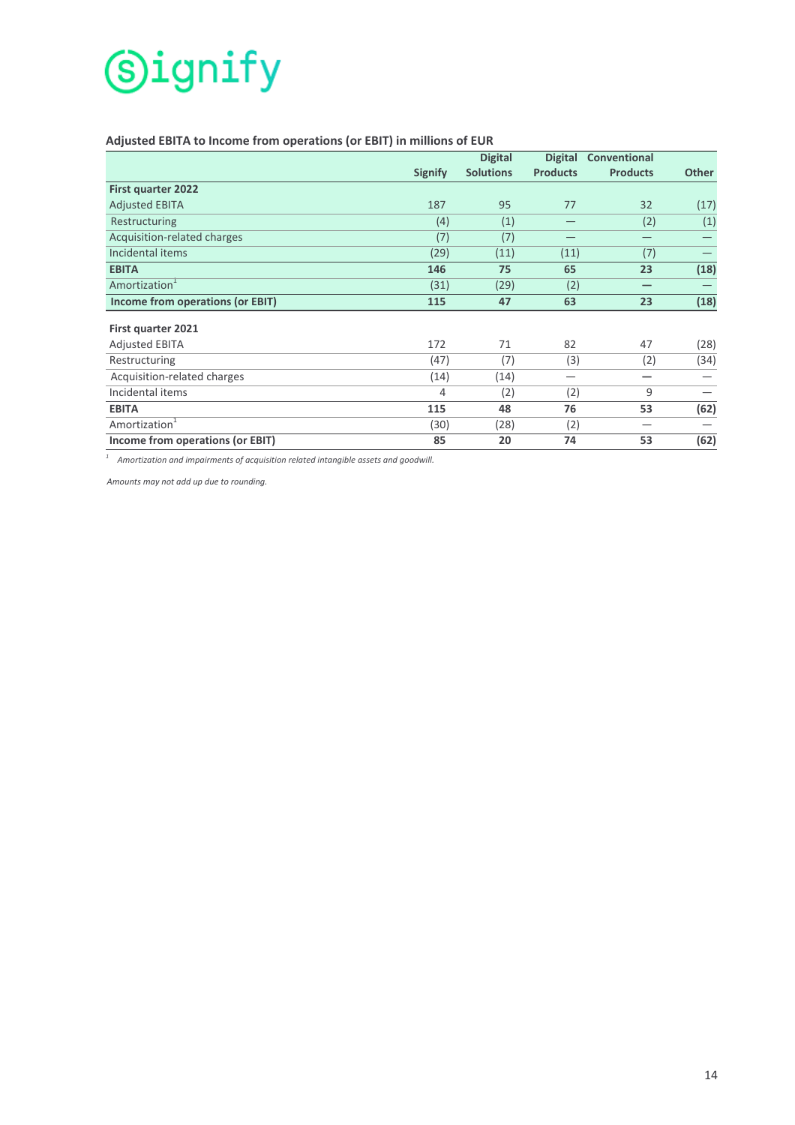# Adjusted EBITA to Income from operations (or EBIT) in millions of EUR

|                                         |                | <b>Digital</b>   | <b>Digital</b>  | Conventional    |              |
|-----------------------------------------|----------------|------------------|-----------------|-----------------|--------------|
|                                         | <b>Signify</b> | <b>Solutions</b> | <b>Products</b> | <b>Products</b> | <b>Other</b> |
| <b>First quarter 2022</b>               |                |                  |                 |                 |              |
| <b>Adjusted EBITA</b>                   | 187            | 95               | 77              | 32              | (17)         |
| Restructuring                           | (4)            | (1)              |                 | (2)             | (1)          |
| Acquisition-related charges             | (7)            | (7)              |                 |                 |              |
| Incidental items                        | (29)           | (11)             | (11)            | (7)             |              |
| <b>EBITA</b>                            | 146            | 75               | 65              | 23              | (18)         |
| Amortization <sup>1</sup>               | (31)           | (29)             | (2)             |                 |              |
| <b>Income from operations (or EBIT)</b> | 115            | 47               | 63              | 23              | (18)         |
|                                         |                |                  |                 |                 |              |
| First quarter 2021                      |                |                  |                 |                 |              |
| <b>Adjusted EBITA</b>                   | 172            | 71               | 82              | 47              | (28)         |
| Restructuring                           | (47)           | (7)              | (3)             | (2)             | (34)         |
| Acquisition-related charges             | (14)           | (14)             |                 |                 |              |
| Incidental items                        | 4              | (2)              | (2)             | 9               |              |
| <b>EBITA</b>                            | 115            | 48               | 76              | 53              | (62)         |
| Amortization <sup>1</sup>               | (30)           | (28)             | (2)             | -               |              |
| Income from operations (or EBIT)        | 85             | 20               | 74              | 53              | (62)         |

<sup>1</sup> Amortization and impairments of acquisition related intangible assets and goodwill.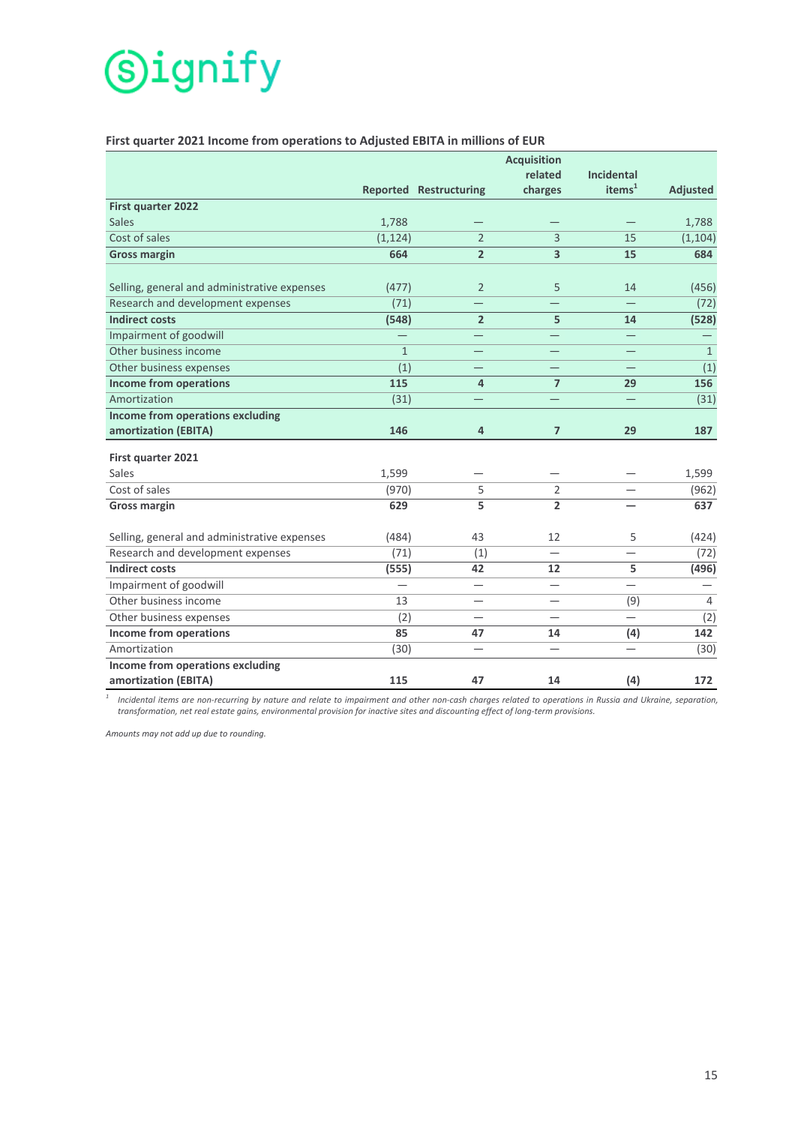# First quarter 2021 Income from operations to Adjusted EBITA in millions of EUR

|                                              |                 |                               | <b>Acquisition</b>      |                                |                 |
|----------------------------------------------|-----------------|-------------------------------|-------------------------|--------------------------------|-----------------|
|                                              |                 |                               | related                 | <b>Incidental</b><br>items $1$ |                 |
|                                              |                 | <b>Reported Restructuring</b> | charges                 |                                | <b>Adjusted</b> |
| First quarter 2022<br><b>Sales</b>           |                 |                               |                         |                                |                 |
| Cost of sales                                | 1,788           | $\overline{2}$                | $\overline{3}$          |                                | 1,788           |
|                                              | (1, 124)<br>664 | $\overline{2}$                | $\overline{\mathbf{3}}$ | 15<br>15                       | (1, 104)<br>684 |
| <b>Gross margin</b>                          |                 |                               |                         |                                |                 |
| Selling, general and administrative expenses | (477)           | $\overline{2}$                | 5                       | 14                             | (456)           |
| Research and development expenses            | (71)            |                               |                         |                                | (72)            |
| <b>Indirect costs</b>                        | (548)           | $\overline{2}$                | 5                       | 14                             | (528)           |
| Impairment of goodwill                       |                 |                               |                         |                                |                 |
| Other business income                        | $\mathbf{1}$    |                               |                         |                                | $\mathbf{1}$    |
| Other business expenses                      | (1)             |                               |                         |                                | (1)             |
| <b>Income from operations</b>                | 115             | 4                             | $\overline{7}$          | 29                             | 156             |
| Amortization                                 | (31)            |                               |                         |                                | (31)            |
| <b>Income from operations excluding</b>      |                 |                               |                         |                                |                 |
| amortization (EBITA)                         | 146             | 4                             | $\overline{7}$          | 29                             | 187             |
| First quarter 2021                           |                 |                               |                         |                                |                 |
| Sales                                        | 1,599           |                               |                         |                                | 1,599           |
| Cost of sales                                | (970)           | 5                             | $\overline{2}$          |                                | (962)           |
| <b>Gross margin</b>                          | 629             | 5                             | $\overline{2}$          |                                | 637             |
| Selling, general and administrative expenses | (484)           | 43                            | 12                      | 5                              | (424)           |
| Research and development expenses            | (71)            | (1)                           |                         |                                | (72)            |
| <b>Indirect costs</b>                        | (555)           | 42                            | 12                      | 5                              | (496)           |
| Impairment of goodwill                       |                 | $\overline{\phantom{0}}$      |                         |                                |                 |
| Other business income                        | 13              |                               |                         | (9)                            | 4               |
| Other business expenses                      | (2)             |                               |                         |                                | (2)             |
| Income from operations                       | 85              | 47                            | 14                      | (4)                            | $142$           |
| Amortization                                 | (30)            |                               |                         |                                | (30)            |
| Income from operations excluding             |                 |                               |                         |                                |                 |
| amortization (EBITA)                         | 115             | 47                            | 14                      | (4)                            | 172             |

<sup>1</sup> Incidental items are non-recurring by nature and relate to impairment and other non-cash charges related to operations in Russia and Ukraine, separation, *transformation, net real estate gains, environmental provision for inactive sites and discounting effect of long-term provisions.*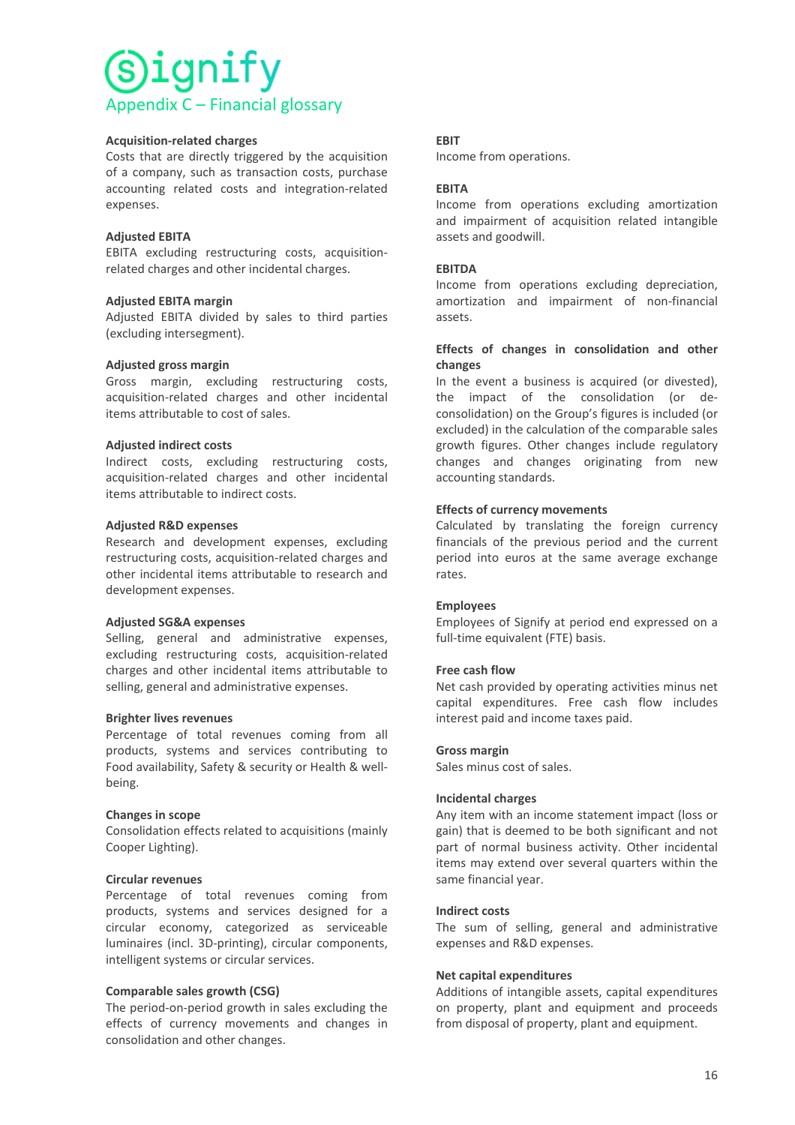# ìqnity Appendix C – Financial glossary

### **Acquisition-related charges**

Costs that are directly triggered by the acquisition of a company, such as transaction costs, purchase accounting related costs and integration-related expenses.

### **Adjusted EBITA**

EBITA excluding restructuring costs, acquisitionrelated charges and other incidental charges.

### **Adjusted EBITA margin**

Adjusted EBITA divided by sales to third parties (excluding intersegment).

### **Adjusted gross margin**

Gross margin, excluding restructuring costs, acquisition-related charges and other incidental items attributable to cost of sales.

### **Adjusted indirect costs**

Indirect costs, excluding restructuring costs, acquisition-related charges and other incidental items attributable to indirect costs.

### **Adjusted R&D expenses**

Research and development expenses, excluding restructuring costs, acquisition-related charges and other incidental items attributable to research and development expenses.

#### **Adjusted SG&A expenses**

Selling, general and administrative expenses, excluding restructuring costs, acquisition-related charges and other incidental items attributable to selling, general and administrative expenses.

#### **Brighter lives revenues**

Percentage of total revenues coming from all products, systems and services contributing to Food availability, Safety & security or Health & wellbeing.

# **Changes in scope**

Consolidation effects related to acquisitions (mainly Cooper Lighting).

#### **Circular revenues**

Percentage of total revenues coming from products, systems and services designed for a circular economy, categorized as serviceable luminaires (incl. 3D-printing), circular components, intelligent systems or circular services.

# **Comparable sales growth (CSG)**

The period-on-period growth in sales excluding the effects of currency movements and changes in consolidation and other changes.

# **EBIT**

Income from operations.

# **EBITA**

Income from operations excluding amortization and impairment of acquisition related intangible assets and goodwill.

### **EBITDA**

Income from operations excluding depreciation, amortization and impairment of non-financial assets.

### Effects of changes in consolidation and other **changes**

In the event a business is acquired (or divested), the impact of the consolidation (or deconsolidation) on the Group's figures is included (or excluded) in the calculation of the comparable sales growth figures. Other changes include regulatory changes and changes originating from new accounting standards.

# **Effects of currency movements**

Calculated by translating the foreign currency financials of the previous period and the current period into euros at the same average exchange rates.

#### **Employees**

Employees of Signify at period end expressed on a full-time equivalent (FTE) basis.

# **Free cash flow**

Net cash provided by operating activities minus net capital expenditures. Free cash flow includes interest paid and income taxes paid.

#### **Gross margin**

Sales minus cost of sales.

#### **Incidental charges**

Any item with an income statement impact (loss or gain) that is deemed to be both significant and not part of normal business activity. Other incidental items may extend over several quarters within the same financial year.

#### **Indirect costs**

The sum of selling, general and administrative expenses and R&D expenses.

# **Net capital expenditures**

Additions of intangible assets, capital expenditures on property, plant and equipment and proceeds from disposal of property, plant and equipment.